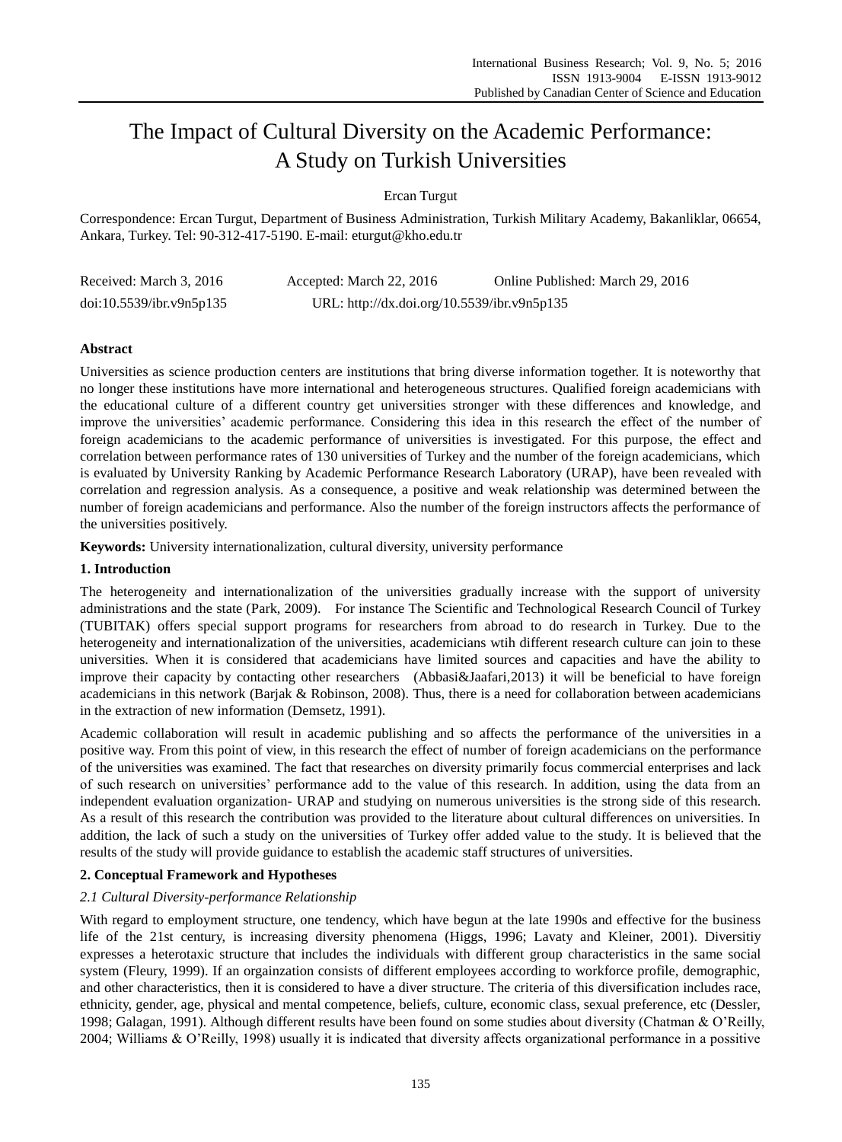# The Impact of Cultural Diversity on the Academic Performance: A Study on Turkish Universities

Ercan Turgut

Correspondence: Ercan Turgut, Department of Business Administration, Turkish Military Academy, Bakanliklar, 06654, Ankara, Turkey. Tel: 90-312-417-5190. E-mail: eturgut@kho.edu.tr

| Received: March 3, 2016  | Accepted: March 22, 2016                    | Online Published: March 29, 2016 |
|--------------------------|---------------------------------------------|----------------------------------|
| doi:10.5539/ibr.v9n5p135 | URL: http://dx.doi.org/10.5539/ibr.v9n5p135 |                                  |

# **Abstract**

Universities as science production centers are institutions that bring diverse information together. It is noteworthy that no longer these institutions have more international and heterogeneous structures. Qualified foreign academicians with the educational culture of a different country get universities stronger with these differences and knowledge, and improve the universities' academic performance. Considering this idea in this research the effect of the number of foreign academicians to the academic performance of universities is investigated. For this purpose, the effect and correlation between performance rates of 130 universities of Turkey and the number of the foreign academicians, which is evaluated by University Ranking by Academic Performance Research Laboratory (URAP), have been revealed with correlation and regression analysis. As a consequence, a positive and weak relationship was determined between the number of foreign academicians and performance. Also the number of the foreign instructors affects the performance of the universities positively.

**Keywords:** University internationalization, cultural diversity, university performance

## **1. Introduction**

The heterogeneity and internationalization of the universities gradually increase with the support of university administrations and the state (Park, 2009). For instance The Scientific and Technological Research Council of Turkey (TUBITAK) offers special support programs for researchers from abroad to do research in Turkey. Due to the heterogeneity and internationalization of the universities, academicians wtih different research culture can join to these universities. When it is considered that academicians have limited sources and capacities and have the ability to improve their capacity by contacting other researchers (Abbasi&Jaafari,2013) it will be beneficial to have foreign academicians in this network (Barjak & Robinson, 2008). Thus, there is a need for collaboration between academicians in the extraction of new information (Demsetz, 1991).

Academic collaboration will result in academic publishing and so affects the performance of the universities in a positive way. From this point of view, in this research the effect of number of foreign academicians on the performance of the universities was examined. The fact that researches on diversity primarily focus commercial enterprises and lack of such research on universities' performance add to the value of this research. In addition, using the data from an independent evaluation organization- URAP and studying on numerous universities is the strong side of this research. As a result of this research the contribution was provided to the literature about cultural differences on universities. In addition, the lack of such a study on the universities of Turkey offer added value to the study. It is believed that the results of the study will provide guidance to establish the academic staff structures of universities.

## **2. Conceptual Framework and Hypotheses**

## *2.1 Cultural Diversity-performance Relationship*

With regard to employment structure, one tendency, which have begun at the late 1990s and effective for the business life of the 21st century, is increasing diversity phenomena (Higgs, 1996; Lavaty and Kleiner, 2001). Diversitiy expresses a heterotaxic structure that includes the individuals with different group characteristics in the same social system (Fleury, 1999). If an orgainzation consists of different employees according to workforce profile, demographic, and other characteristics, then it is considered to have a diver structure. The criteria of this diversification includes race, ethnicity, gender, age, physical and mental competence, beliefs, culture, economic class, sexual preference, etc (Dessler, 1998; Galagan, 1991). Although different results have been found on some studies about diversity (Chatman & O'Reilly, 2004; Williams & O'Reilly, 1998) usually it is indicated that diversity affects organizational performance in a possitive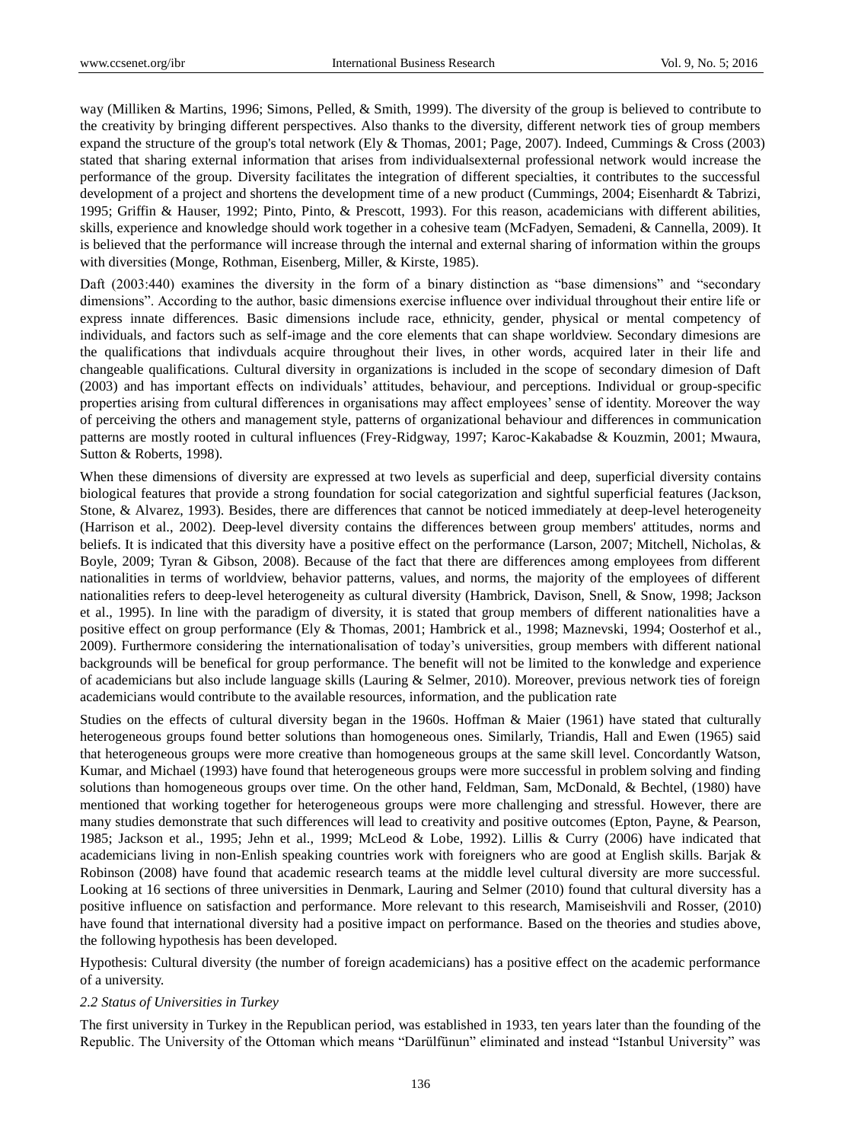way (Milliken & Martins, 1996; Simons, Pelled, & Smith, 1999). The diversity of the group is believed to contribute to the creativity by bringing different perspectives. Also thanks to the diversity, different network ties of group members expand the structure of the group's total network (Ely & Thomas, 2001; Page, 2007). Indeed, Cummings & Cross (2003) stated that sharing external information that arises from individualsexternal professional network would increase the performance of the group. Diversity facilitates the integration of different specialties, it contributes to the successful development of a project and shortens the development time of a new product (Cummings, 2004; Eisenhardt & Tabrizi, 1995; Griffin & Hauser, 1992; Pinto, Pinto, & Prescott, 1993). For this reason, academicians with different abilities, skills, experience and knowledge should work together in a cohesive team (McFadyen, Semadeni, & Cannella, 2009). It is believed that the performance will increase through the internal and external sharing of information within the groups with diversities (Monge, Rothman, Eisenberg, Miller, & Kirste, 1985).

Daft (2003:440) examines the diversity in the form of a binary distinction as "base dimensions" and "secondary dimensions". According to the author, basic dimensions exercise influence over individual throughout their entire life or express innate differences. Basic dimensions include race, ethnicity, gender, physical or mental competency of individuals, and factors such as self-image and the core elements that can shape worldview. Secondary dimesions are the qualifications that indivduals acquire throughout their lives, in other words, acquired later in their life and changeable qualifications. Cultural diversity in organizations is included in the scope of secondary dimesion of Daft (2003) and has important effects on individuals' attitudes, behaviour, and perceptions. Individual or group-specific properties arising from cultural differences in organisations may affect employees' sense of identity. Moreover the way of perceiving the others and management style, patterns of organizational behaviour and differences in communication patterns are mostly rooted in cultural influences (Frey-Ridgway, 1997; Karoc-Kakabadse & Kouzmin, 2001; Mwaura, Sutton & Roberts, 1998).

When these dimensions of diversity are expressed at two levels as superficial and deep, superficial diversity contains biological features that provide a strong foundation for social categorization and sightful superficial features (Jackson, Stone, & Alvarez, 1993). Besides, there are differences that cannot be noticed immediately at deep-level heterogeneity (Harrison et al., 2002). Deep-level diversity contains the differences between group members' attitudes, norms and beliefs. It is indicated that this diversity have a positive effect on the performance (Larson, 2007; Mitchell, Nicholas, & Boyle, 2009; Tyran & Gibson, 2008). Because of the fact that there are differences among employees from different nationalities in terms of worldview, behavior patterns, values, and norms, the majority of the employees of different nationalities refers to deep-level heterogeneity as cultural diversity (Hambrick, Davison, Snell, & Snow, 1998; Jackson et al., 1995). In line with the paradigm of diversity, it is stated that group members of different nationalities have a positive effect on group performance (Ely & Thomas, 2001; Hambrick et al., 1998; Maznevski, 1994; Oosterhof et al., 2009). Furthermore considering the internationalisation of today's universities, group members with different national backgrounds will be benefical for group performance. The benefit will not be limited to the konwledge and experience of academicians but also include language skills (Lauring & Selmer, 2010). Moreover, previous network ties of foreign academicians would contribute to the available resources, information, and the publication rate

Studies on the effects of cultural diversity began in the 1960s. Hoffman & Maier (1961) have stated that culturally heterogeneous groups found better solutions than homogeneous ones. Similarly, Triandis, Hall and Ewen (1965) said that heterogeneous groups were more creative than homogeneous groups at the same skill level. Concordantly Watson, Kumar, and Michael (1993) have found that heterogeneous groups were more successful in problem solving and finding solutions than homogeneous groups over time. On the other hand, Feldman, Sam, McDonald, & Bechtel, (1980) have mentioned that working together for heterogeneous groups were more challenging and stressful. However, there are many studies demonstrate that such differences will lead to creativity and positive outcomes (Epton, Payne, & Pearson, 1985; Jackson et al., 1995; Jehn et al., 1999; McLeod & Lobe, 1992). Lillis & Curry (2006) have indicated that academicians living in non-Enlish speaking countries work with foreigners who are good at English skills. Barjak & Robinson (2008) have found that academic research teams at the middle level cultural diversity are more successful. Looking at 16 sections of three universities in Denmark, Lauring and Selmer (2010) found that cultural diversity has a positive influence on satisfaction and performance. More relevant to this research, Mamiseishvili and Rosser, (2010) have found that international diversity had a positive impact on performance. Based on the theories and studies above, the following hypothesis has been developed.

Hypothesis: Cultural diversity (the number of foreign academicians) has a positive effect on the academic performance of a university.

#### *2.2 Status of Universities in Turkey*

The first university in Turkey in the Republican period, was established in 1933, ten years later than the founding of the Republic. The University of the Ottoman which means "Darülfünun" eliminated and instead "Istanbul University" was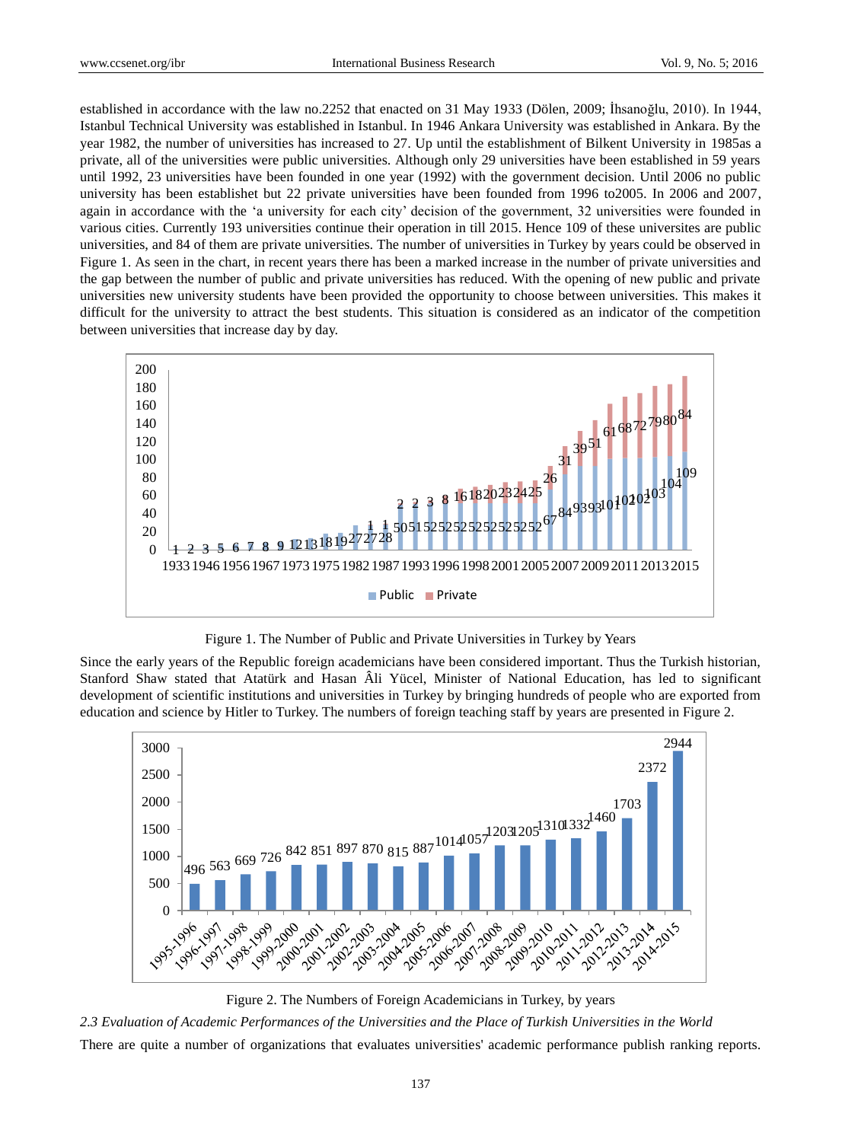established in accordance with the law no.2252 that enacted on 31 May 1933 (Dölen, 2009; İhsanoğlu, 2010). In 1944, Istanbul Technical University was established in Istanbul. In 1946 Ankara University was established in Ankara. By the year 1982, the number of universities has increased to 27. Up until the establishment of Bilkent University in 1985as a private, all of the universities were public universities. Although only 29 universities have been established in 59 years until 1992, 23 universities have been founded in one year (1992) with the government decision. Until 2006 no public university has been establishet but 22 private universities have been founded from 1996 to2005. In 2006 and 2007, again in accordance with the 'a university for each city' decision of the government, 32 universities were founded in various cities. Currently 193 universities continue their operation in till 2015. Hence 109 of these universites are public universities, and 84 of them are private universities. The number of universities in Turkey by years could be observed in Figure 1. As seen in the chart, in recent years there has been a marked increase in the number of private universities and the gap between the number of public and private universities has reduced. With the opening of new public and private universities new university students have been provided the opportunity to choose between universities. This makes it difficult for the university to attract the best students. This situation is considered as an indicator of the competition between universities that increase day by day.



Figure 1. The Number of Public and Private Universities in Turkey by Years

Since the early years of the Republic foreign academicians have been considered important. Thus the Turkish historian, Stanford Shaw stated that Atatürk and Hasan Âli Yücel, Minister of National Education, has led to significant development of scientific institutions and universities in Turkey by bringing hundreds of people who are exported from education and science by Hitler to Turkey. The numbers of foreign teaching staff by years are presented in Figure 2.



Figure 2. The Numbers of Foreign Academicians in Turkey, by years

*2.3 Evaluation of Academic Performances of the Universities and the Place of Turkish Universities in the World* 

There are quite a number of organizations that evaluates universities' academic performance publish ranking reports.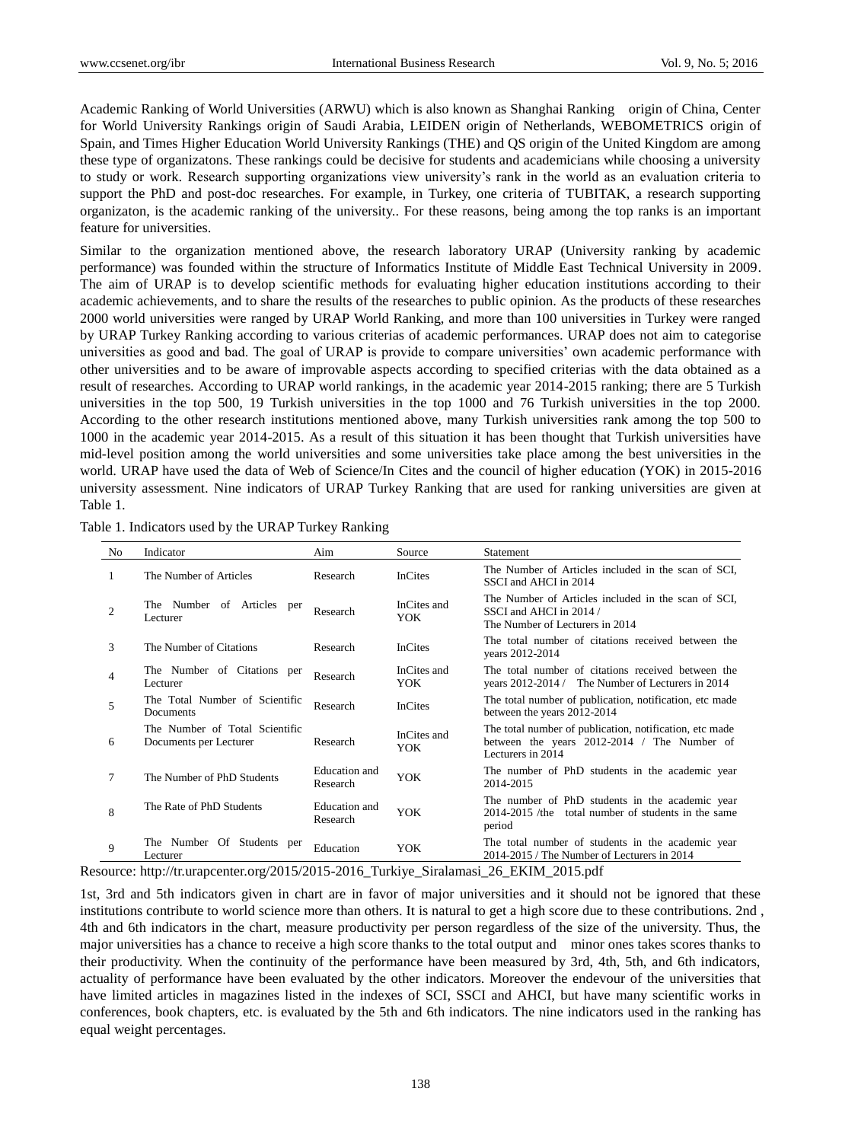Academic Ranking of World Universities (ARWU) which is also known as Shanghai Ranking origin of China, Center for World University Rankings origin of Saudi Arabia, LEIDEN origin of Netherlands, WEBOMETRICS origin of Spain, and Times Higher Education World University Rankings (THE) and QS origin of the United Kingdom are among these type of organizatons. These rankings could be decisive for students and academicians while choosing a university to study or work. Research supporting organizations view university's rank in the world as an evaluation criteria to support the PhD and post-doc researches. For example, in Turkey, one criteria of TUBITAK, a research supporting organizaton, is the academic ranking of the university.. For these reasons, being among the top ranks is an important feature for universities.

Similar to the organization mentioned above, the research laboratory URAP (University ranking by academic performance) was founded within the structure of Informatics Institute of Middle East Technical University in 2009. The aim of URAP is to develop scientific methods for evaluating higher education institutions according to their academic achievements, and to share the results of the researches to public opinion. As the products of these researches 2000 world universities were ranged by URAP World Ranking, and more than 100 universities in Turkey were ranged by URAP Turkey Ranking according to various criterias of academic performances. URAP does not aim to categorise universities as good and bad. The goal of URAP is provide to compare universities' own academic performance with other universities and to be aware of improvable aspects according to specified criterias with the data obtained as a result of researches. According to URAP world rankings, in the academic year 2014-2015 ranking; there are 5 Turkish universities in the top 500, 19 Turkish universities in the top 1000 and 76 Turkish universities in the top 2000. According to the other research institutions mentioned above, many Turkish universities rank among the top 500 to 1000 in the academic year 2014-2015. As a result of this situation it has been thought that Turkish universities have mid-level position among the world universities and some universities take place among the best universities in the world. URAP have used the data of Web of Science/In Cites and the council of higher education (YOK) in 2015-2016 university assessment. Nine indicators of URAP Turkey Ranking that are used for ranking universities are given at Table 1.

|  | Table 1. Indicators used by the URAP Turkey Ranking |  |
|--|-----------------------------------------------------|--|
|  |                                                     |  |

| No.            | Indicator                                                | Aim                       | Source             | Statement                                                                                                                   |
|----------------|----------------------------------------------------------|---------------------------|--------------------|-----------------------------------------------------------------------------------------------------------------------------|
| 1              | The Number of Articles                                   | Research                  | <b>InCites</b>     | The Number of Articles included in the scan of SCI,<br>SSCI and AHCI in 2014                                                |
| $\overline{c}$ | The Number of Articles per<br>Lecturer                   | Research                  | InCites and<br>YOK | The Number of Articles included in the scan of SCI,<br>SSCI and AHCI in 2014 /<br>The Number of Lecturers in 2014           |
| 3              | The Number of Citations                                  | Research                  | <b>InCites</b>     | The total number of citations received between the<br>years 2012-2014                                                       |
| 4              | The Number of Citations per<br>Lecturer                  | Research                  | InCites and<br>YOK | The total number of citations received between the<br>years 2012-2014 / The Number of Lecturers in 2014                     |
| 5              | The Total Number of Scientific<br>Documents              | Research                  | <b>InCites</b>     | The total number of publication, notification, etc made<br>between the years 2012-2014                                      |
| 6              | The Number of Total Scientific<br>Documents per Lecturer | Research                  | InCites and<br>YOK | The total number of publication, notification, etc made<br>between the years 2012-2014 / The Number of<br>Lecturers in 2014 |
| 7              | The Number of PhD Students                               | Education and<br>Research | <b>YOK</b>         | The number of PhD students in the academic year<br>2014-2015                                                                |
| 8              | The Rate of PhD Students                                 | Education and<br>Research | <b>YOK</b>         | The number of PhD students in the academic year<br>2014-2015 /the total number of students in the same<br>period            |
| 9              | The Number Of Students per<br>Lecturer                   | Education                 | YOK                | The total number of students in the academic year<br>2014-2015 / The Number of Lecturers in 2014                            |

Resource: [http://tr.urapcenter.org/2015/2015-2016\\_Turkiye\\_Siralamasi\\_26\\_EKIM\\_2015.pdf](http://tr.urapcenter.org/2015/2015-2016_Turkiye_Siralamasi_26_EKIM_2015.pdf)

1st, 3rd and 5th indicators given in chart are in favor of major universities and it should not be ignored that these institutions contribute to world science more than others. It is natural to get a high score due to these contributions. 2nd , 4th and 6th indicators in the chart, measure productivity per person regardless of the size of the university. Thus, the major universities has a chance to receive a high score thanks to the total output and minor ones takes scores thanks to their productivity. When the continuity of the performance have been measured by 3rd, 4th, 5th, and 6th indicators, actuality of performance have been evaluated by the other indicators. Moreover the endevour of the universities that have limited articles in magazines listed in the indexes of SCI, SSCI and AHCI, but have many scientific works in conferences, book chapters, etc. is evaluated by the 5th and 6th indicators. The nine indicators used in the ranking has equal weight percentages.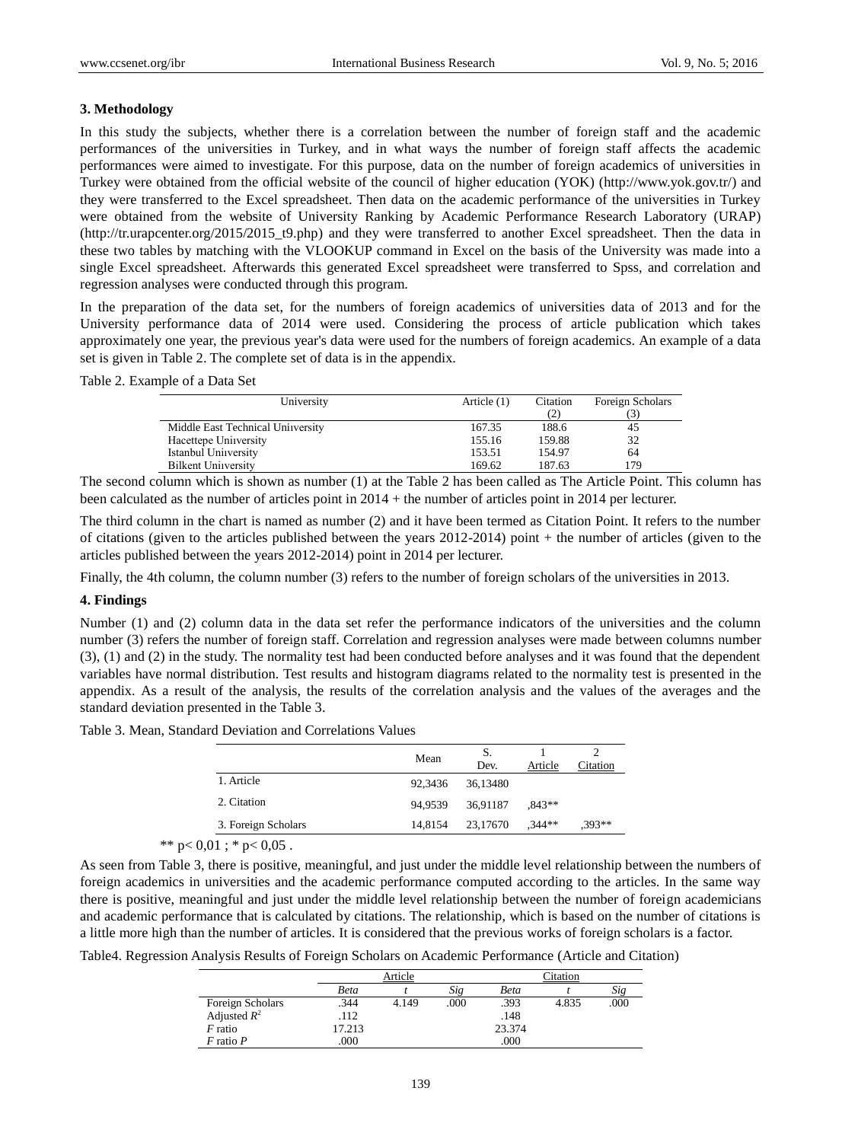## **3. Methodology**

In this study the subjects, whether there is a correlation between the number of foreign staff and the academic performances of the universities in Turkey, and in what ways the number of foreign staff affects the academic performances were aimed to investigate. For this purpose, data on the number of foreign academics of universities in Turkey were obtained from the official website of the council of higher education (YOK) [\(http://www.yok.gov.tr/\)](http://www.yok.gov.tr/) and they were transferred to the Excel spreadsheet. Then data on the academic performance of the universities in Turkey were obtained from the website of University Ranking by Academic Performance Research Laboratory (URAP) [\(http://tr.urapcenter.org/2015/2015\\_t9.php\)](http://tr.urapcenter.org/2015/2015_t9.php) and they were transferred to another Excel spreadsheet. Then the data in these two tables by matching with the VLOOKUP command in Excel on the basis of the University was made into a single Excel spreadsheet. Afterwards this generated Excel spreadsheet were transferred to Spss, and correlation and regression analyses were conducted through this program.

In the preparation of the data set, for the numbers of foreign academics of universities data of 2013 and for the University performance data of 2014 were used. Considering the process of article publication which takes approximately one year, the previous year's data were used for the numbers of foreign academics. An example of a data set is given in Table 2. The complete set of data is in the appendix.

## Table 2. Example of a Data Set

| University                        | Article $(1)$ | Citation | Foreign Scholars |
|-----------------------------------|---------------|----------|------------------|
|                                   |               |          |                  |
| Middle East Technical Uniiversity | 167.35        | 188.6    | 45               |
| Hacettepe Uniiversity             | 155.16        | 159.88   | 32               |
| Istanbul Uniiversity              | 153.51        | 154.97   | 64               |
| <b>Bilkent University</b>         | 169.62        | 187.63   | 179              |

The second column which is shown as number (1) at the Table 2 has been called as The Article Point. This column has been calculated as the number of articles point in 2014 + the number of articles point in 2014 per lecturer.

The third column in the chart is named as number (2) and it have been termed as Citation Point. It refers to the number of citations (given to the articles published between the years 2012-2014) point + the number of articles (given to the articles published between the years 2012-2014) point in 2014 per lecturer.

Finally, the 4th column, the column number (3) refers to the number of foreign scholars of the universities in 2013.

#### **4. Findings**

Number (1) and (2) column data in the data set refer the performance indicators of the universities and the column number (3) refers the number of foreign staff. Correlation and regression analyses were made between columns number (3), (1) and (2) in the study. The normality test had been conducted before analyses and it was found that the dependent variables have normal distribution. Test results and histogram diagrams related to the normality test is presented in the appendix. As a result of the analysis, the results of the correlation analysis and the values of the averages and the standard deviation presented in the Table 3.

|  |  | Table 3. Mean, Standard Deviation and Correlations Values |  |  |
|--|--|-----------------------------------------------------------|--|--|
|--|--|-----------------------------------------------------------|--|--|

|                     | Mean    | S.<br>Dev. | Article  | Citation |
|---------------------|---------|------------|----------|----------|
| 1. Article          | 92,3436 | 36.13480   |          |          |
| 2. Citation         | 94.9539 | 36.91187   | $.843**$ |          |
| 3. Foreign Scholars | 14.8154 | 23,17670   | $,344**$ | $.393**$ |

\*\*  $p < 0.01$ ; \*  $p < 0.05$ .

As seen from Table 3, there is positive, meaningful, and just under the middle level relationship between the numbers of foreign academics in universities and the academic performance computed according to the articles. In the same way there is positive, meaningful and just under the middle level relationship between the number of foreign academicians and academic performance that is calculated by citations. The relationship, which is based on the number of citations is a little more high than the number of articles. It is considered that the previous works of foreign scholars is a factor.

Table4. Regression Analysis Results of Foreign Scholars on Academic Performance (Article and Citation)

|                                    |        | Article |      |             | Citation |      |  |
|------------------------------------|--------|---------|------|-------------|----------|------|--|
|                                    | Beta   |         | Sig  | <b>Beta</b> |          | Sig  |  |
|                                    | .344   | 4.149   | .000 | .393        | 4.835    | .000 |  |
| Foreign Scholars<br>Adjusted $R^2$ | .112   |         |      | .148        |          |      |  |
| $F$ ratio                          | 17.213 |         |      | 23.374      |          |      |  |
| $F$ ratio $P$                      | .000   |         |      | .000        |          |      |  |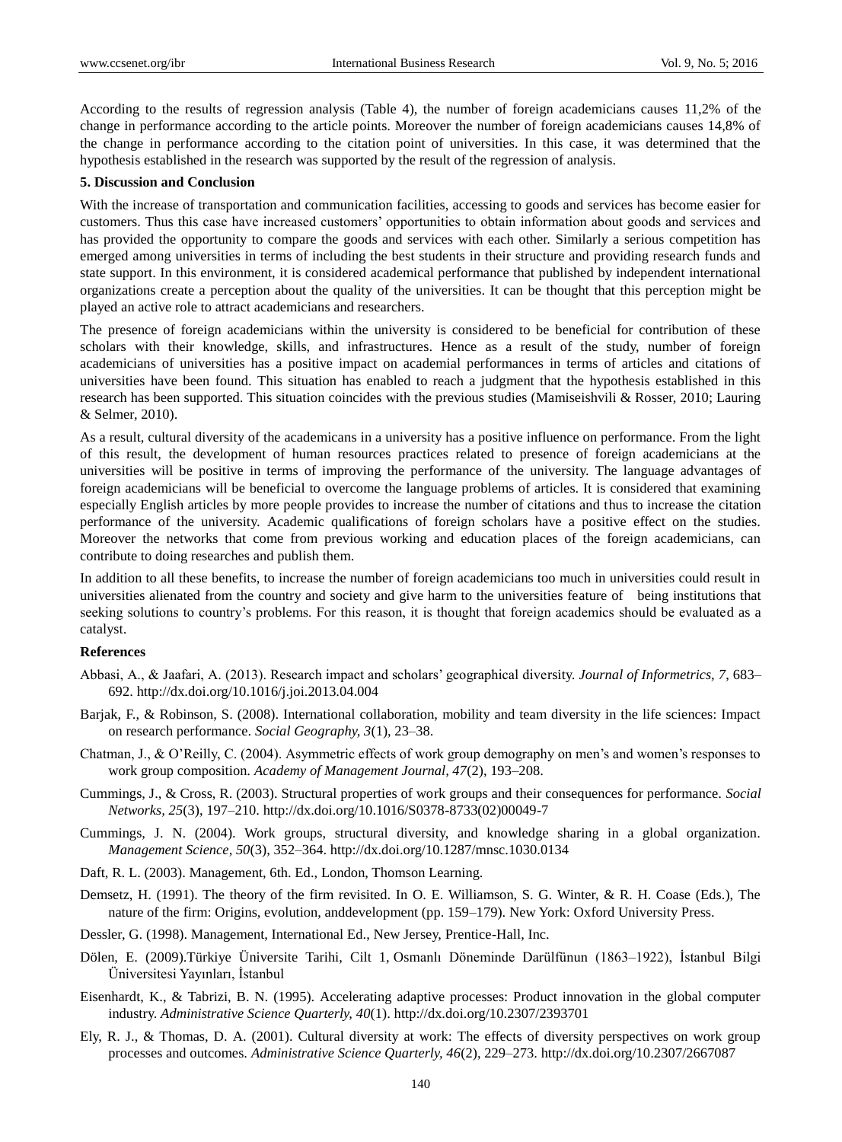According to the results of regression analysis (Table 4), the number of foreign academicians causes 11,2% of the change in performance according to the article points. Moreover the number of foreign academicians causes 14,8% of the change in performance according to the citation point of universities. In this case, it was determined that the hypothesis established in the research was supported by the result of the regression of analysis.

#### **5. Discussion and Conclusion**

With the increase of transportation and communication facilities, accessing to goods and services has become easier for customers. Thus this case have increased customers' opportunities to obtain information about goods and services and has provided the opportunity to compare the goods and services with each other. Similarly a serious competition has emerged among universities in terms of including the best students in their structure and providing research funds and state support. In this environment, it is considered academical performance that published by independent international organizations create a perception about the quality of the universities. It can be thought that this perception might be played an active role to attract academicians and researchers.

The presence of foreign academicians within the university is considered to be beneficial for contribution of these scholars with their knowledge, skills, and infrastructures. Hence as a result of the study, number of foreign academicians of universities has a positive impact on academial performances in terms of articles and citations of universities have been found. This situation has enabled to reach a judgment that the hypothesis established in this research has been supported. This situation coincides with the previous studies (Mamiseishvili & Rosser, 2010; Lauring & Selmer, 2010).

As a result, cultural diversity of the academicans in a university has a positive influence on performance. From the light of this result, the development of human resources practices related to presence of foreign academicians at the universities will be positive in terms of improving the performance of the university. The language advantages of foreign academicians will be beneficial to overcome the language problems of articles. It is considered that examining especially English articles by more people provides to increase the number of citations and thus to increase the citation performance of the university. Academic qualifications of foreign scholars have a positive effect on the studies. Moreover the networks that come from previous working and education places of the foreign academicians, can contribute to doing researches and publish them.

In addition to all these benefits, to increase the number of foreign academicians too much in universities could result in universities alienated from the country and society and give harm to the universities feature of being institutions that seeking solutions to country's problems. For this reason, it is thought that foreign academics should be evaluated as a catalyst.

## **References**

- Abbasi, A., & Jaafari, A. (2013). Research impact and scholars' geographical diversity. *Journal of Informetrics, 7*, 683– 692. http://dx.doi.org/10.1016/j.joi.2013.04.004
- Barjak, F., & Robinson, S. (2008). International collaboration, mobility and team diversity in the life sciences: Impact on research performance. *Social Geography, 3*(1), 23–38.
- Chatman, J., & O'Reilly, C. (2004). Asymmetric effects of work group demography on men's and women's responses to work group composition. *Academy of Management Journal, 47*(2), 193–208.
- Cummings, J., & Cross, R. (2003). Structural properties of work groups and their consequences for performance. *Social Networks, 25*(3), 197–210. http://dx.doi.org/10.1016/S0378-8733(02)00049-7
- Cummings, J. N. (2004). Work groups, structural diversity, and knowledge sharing in a global organization. *Management Science, 50*(3), 352–364. http://dx.doi.org/10.1287/mnsc.1030.0134
- Daft, R. L. (2003). Management, 6th. Ed., London, Thomson Learning.
- Demsetz, H. (1991). The theory of the firm revisited. In O. E. Williamson, S. G. Winter, & R. H. Coase (Eds.), The nature of the firm: Origins, evolution, anddevelopment (pp. 159–179). New York: Oxford University Press.
- Dessler, G. (1998). Management, International Ed., New Jersey, Prentice-Hall, Inc.
- Dölen, E. (2009).Türkiye Üniversite Tarihi, Cilt 1, Osmanlı Döneminde Darülfünun (1863–1922), İstanbul Bilgi Üniversitesi Yayınları, İstanbul
- Eisenhardt, K., & Tabrizi, B. N. (1995). Accelerating adaptive processes: Product innovation in the global computer industry. *Administrative Science Quarterly, 40*(1). http://dx.doi.org/10.2307/2393701
- Ely, R. J., & Thomas, D. A. (2001). Cultural diversity at work: The effects of diversity perspectives on work group processes and outcomes. *Administrative Science Quarterly, 46*(2), 229–273. http://dx.doi.org/10.2307/2667087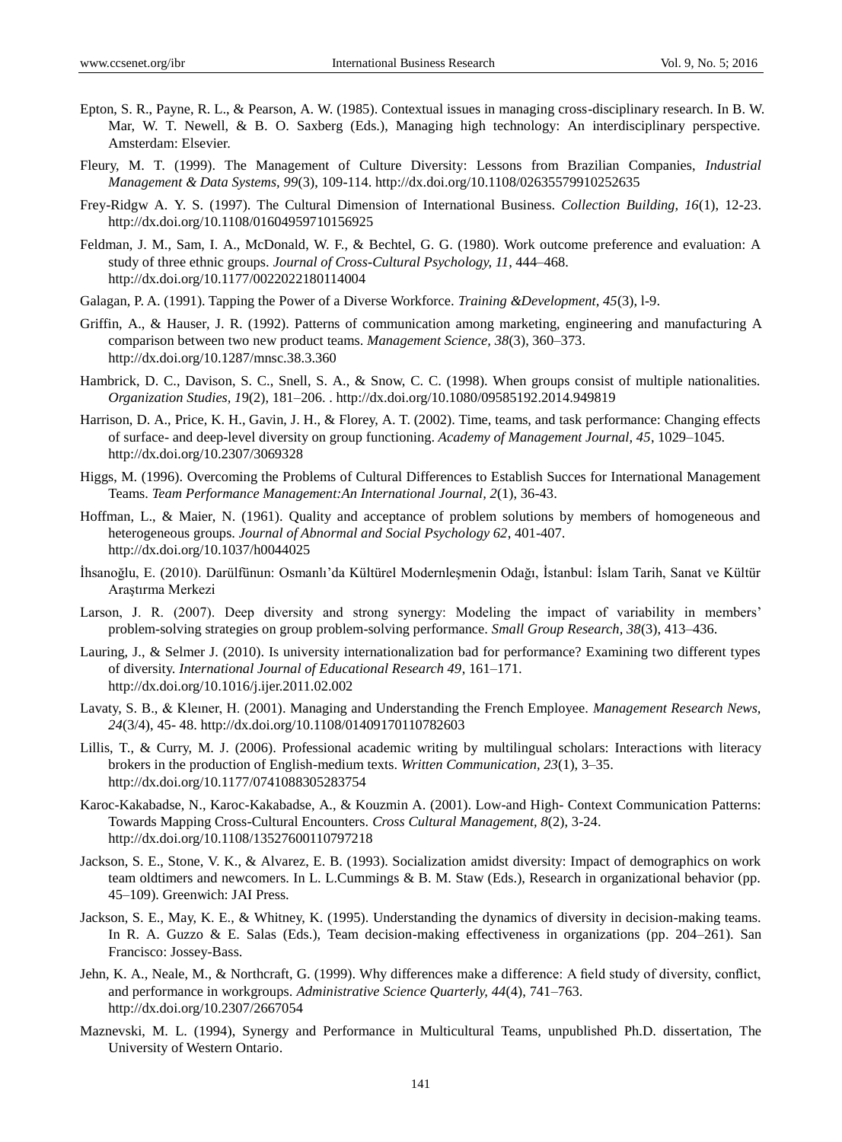- Epton, S. R., Payne, R. L., & Pearson, A. W. (1985). Contextual issues in managing cross-disciplinary research. In B. W. Mar, W. T. Newell, & B. O. Saxberg (Eds.), Managing high technology: An interdisciplinary perspective. Amsterdam: Elsevier.
- Fleury, M. T. (1999). The Management of Culture Diversity: Lessons from Brazilian Companies, *Industrial Management & Data Systems, 99*(3), 109-114. http://dx.doi.org/10.1108/02635579910252635
- Frey-Ridgw A. Y. S. (1997). The Cultural Dimension of International Business. *Collection Building, 16*(1), 12-23. http://dx.doi.org/10.1108/01604959710156925
- Feldman, J. M., Sam, I. A., McDonald, W. F., & Bechtel, G. G. (1980). Work outcome preference and evaluation: A study of three ethnic groups. *Journal of Cross-Cultural Psychology, 11*, 444–468. http://dx.doi.org/10.1177/0022022180114004
- Galagan, P. A. (1991). Tapping the Power of a Diverse Workforce*. Training &Development, 45*(3), l-9.
- Griffin, A., & Hauser, J. R. (1992). Patterns of communication among marketing, engineering and manufacturing A comparison between two new product teams. *Management Science, 38*(3), 360–373. http://dx.doi.org/10.1287/mnsc.38.3.360
- Hambrick, D. C., Davison, S. C., Snell, S. A., & Snow, C. C. (1998). When groups consist of multiple nationalities. *Organization Studies, 1*9(2), 181–206. . http://dx.doi.org/10.1080/09585192.2014.949819
- Harrison, D. A., Price, K. H., Gavin, J. H., & Florey, A. T. (2002). Time, teams, and task performance: Changing effects of surface- and deep-level diversity on group functioning. *Academy of Management Journal, 45*, 1029–1045. http://dx.doi.org/10.2307/3069328
- Higgs, M. (1996). Overcoming the Problems of Cultural Differences to Establish Succes for International Management Teams. *Team Performance Management:An International Journal, 2*(1), 36-43.
- Hoffman, L., & Maier, N. (1961). Quality and acceptance of problem solutions by members of homogeneous and heterogeneous groups. *Journal of Abnormal and Social Psychology 62*, 401-407. http://dx.doi.org/10.1037/h0044025
- İhsanoğlu, E. (2010). Darülfünun: Osmanlı'da Kültürel Modernleşmenin Odağı, İstanbul: İslam Tarih, Sanat ve Kültür Araştırma Merkezi
- Larson, J. R. (2007). Deep diversity and strong synergy: Modeling the impact of variability in members' problem-solving strategies on group problem-solving performance. *Small Group Research, 38*(3), 413–436.
- Lauring, J., & Selmer J. (2010). Is university internationalization bad for performance? Examining two different types of diversity. *International Journal of Educational Research 49*, 161–171. http://dx.doi.org[/10.1016/j.ijer.2011.02.002](http://dx.doi.org/10.1016/j.ijer.2011.02.002)
- Lavaty, S. B., & Kleıner, H. (2001). Managing and Understanding the French Employee. *Management Research News, 24*(3/4), 45- 48. http://dx.doi.org/10.1108/01409170110782603
- Lillis, T., & Curry, M. J. (2006). Professional academic writing by multilingual scholars: Interactions with literacy brokers in the production of English-medium texts. *Written Communication, 23*(1), 3–35. http://dx.doi.org/10.1177/0741088305283754
- Karoc-Kakabadse, N., Karoc-Kakabadse, A., & Kouzmin A. (2001). Low-and High- Context Communication Patterns: Towards Mapping Cross-Cultural Encounters. *Cross Cultural Management, 8*(2), 3-24. <http://dx.doi.org/10.1108/13527600110797218>
- Jackson, S. E., Stone, V. K., & Alvarez, E. B. (1993). Socialization amidst diversity: Impact of demographics on work team oldtimers and newcomers. In L. L.Cummings & B. M. Staw (Eds.), Research in organizational behavior (pp. 45–109). Greenwich: JAI Press.
- Jackson, S. E., May, K. E., & Whitney, K. (1995). Understanding the dynamics of diversity in decision-making teams. In R. A. Guzzo & E. Salas (Eds.), Team decision-making effectiveness in organizations (pp. 204–261). San Francisco: Jossey-Bass.
- Jehn, K. A., Neale, M., & Northcraft, G. (1999). Why differences make a difference: A field study of diversity, conflict, and performance in workgroups. *Administrative Science Quarterly, 44*(4), 741–763. http://dx.doi.org/10.2307/2667054
- Maznevski, M. L. (1994), Synergy and Performance in Multicultural Teams, unpublished Ph.D. dissertation, The University of Western Ontario.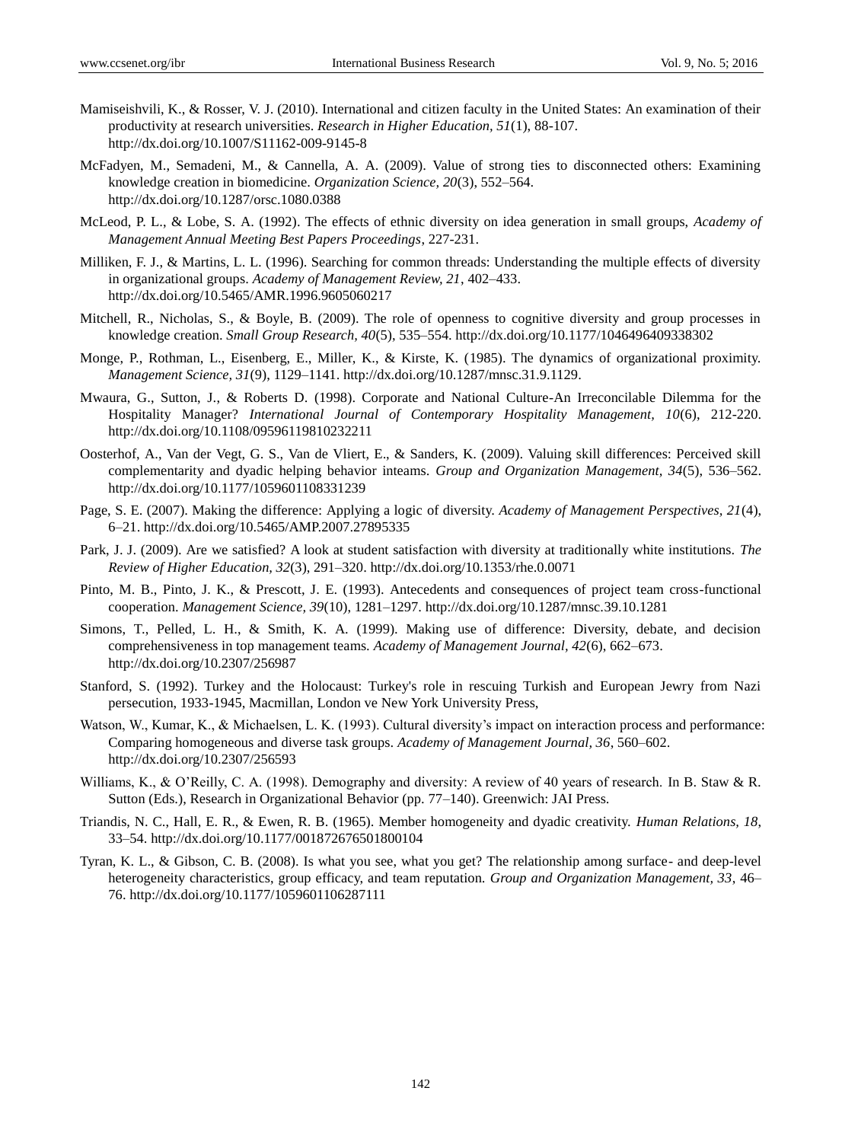- Mamiseishvili, K., & Rosser, V. J. (2010). [International and citizen faculty in the United States: An examination of their](http://link.springer.com/article/10.1007/s11162-009-9145-8)  [productivity at research universities.](http://link.springer.com/article/10.1007/s11162-009-9145-8) *Research in Higher Education, 51*(1), 88-107. http://dx.doi.org/10.1007/S11162-009-9145-8
- McFadyen, M., Semadeni, M., & Cannella, A. A. (2009). Value of strong ties to disconnected others: Examining knowledge creation in biomedicine. *Organization Science, 20*(3), 552–564. http://dx.doi.org/10.1287/orsc.1080.0388
- McLeod, P. L., & Lobe, S. A. (1992). The effects of ethnic diversity on idea generation in small groups, *Academy of Management Annual Meeting Best Papers Proceedings*, 227-231.
- Milliken, F. J., & Martins, L. L. (1996). Searching for common threads: Understanding the multiple effects of diversity in organizational groups. *Academy of Management Review, 21*, 402–433. http://dx.doi.org/10.5465/AMR.1996.9605060217
- Mitchell, R., Nicholas, S., & Boyle, B. (2009). The role of openness to cognitive diversity and group processes in knowledge creation. *Small Group Research, 40*(5), 535–554. http://dx.doi.org/10.1177/1046496409338302
- Monge, P., Rothman, L., Eisenberg, E., Miller, K., & Kirste, K. (1985). The dynamics of organizational proximity. *Management Science, 31*(9), 1129–1141. http://dx.doi.org/10.1287/mnsc.31.9.1129.
- Mwaura, G., Sutton, J., & Roberts D. (1998). Corporate and National Culture-An Irreconcilable Dilemma for the Hospitality Manager? *International Journal of Contemporary Hospitality Management, 10*(6), 212-220. <http://dx.doi.org/10.1108/09596119810232211>
- Oosterhof, A., Van der Vegt, G. S., Van de Vliert, E., & Sanders, K. (2009). Valuing skill differences: Perceived skill complementarity and dyadic helping behavior inteams. *Group and Organization Management, 34*(5), 536–562. http://dx.doi.org/10.1177/1059601108331239
- Page, S. E. (2007). Making the difference: Applying a logic of diversity. *Academy of Management Perspectives, 21*(4), 6–21. http://dx.doi.org/10.5465/AMP.2007.27895335
- Park, J. J. (2009). Are we satisfied? A look at student satisfaction with diversity at traditionally white institutions. *The Review of Higher Education, 32*(3), 291–320. http://dx.doi.org/10.1353/rhe.0.0071
- Pinto, M. B., Pinto, J. K., & Prescott, J. E. (1993). Antecedents and consequences of project team cross-functional cooperation. *Management Science, 39*(10), 1281–1297. http://dx.doi.org/10.1287/mnsc.39.10.1281
- Simons, T., Pelled, L. H., & Smith, K. A. (1999). Making use of difference: Diversity, debate, and decision comprehensiveness in top management teams. *Academy of Management Journal, 42*(6), 662–673. http://dx.doi.org/10.2307/256987
- Stanford, S. (1992). Turkey and the Holocaust: Turkey's role in rescuing Turkish and European Jewry from Nazi persecution, 1933-1945, Macmillan, London ve New York University Press,
- Watson, W., Kumar, K., & Michaelsen, L. K. (1993). Cultural diversity's impact on interaction process and performance: Comparing homogeneous and diverse task groups. *Academy of Management Journal, 36*, 560–602. http://dx.doi.org/10.2307/256593
- Williams, K., & O'Reilly, C. A. (1998). Demography and diversity: A review of 40 years of research. In B. Staw & R. Sutton (Eds.), Research in Organizational Behavior (pp. 77–140). Greenwich: JAI Press.
- Triandis, N. C., Hall, E. R., & Ewen, R. B. (1965). Member homogeneity and dyadic creativity. *Human Relations, 18*, 33–54. http://dx.doi.org/10.1177/001872676501800104
- Tyran, K. L., & Gibson, C. B. (2008). Is what you see, what you get? The relationship among surface- and deep-level heterogeneity characteristics, group efficacy, and team reputation. *Group and Organization Management, 33*, 46– 76[. http://dx.doi.org/10.1177/1059601106287111](http://dx.doi.org/10.1177/1059601106287111)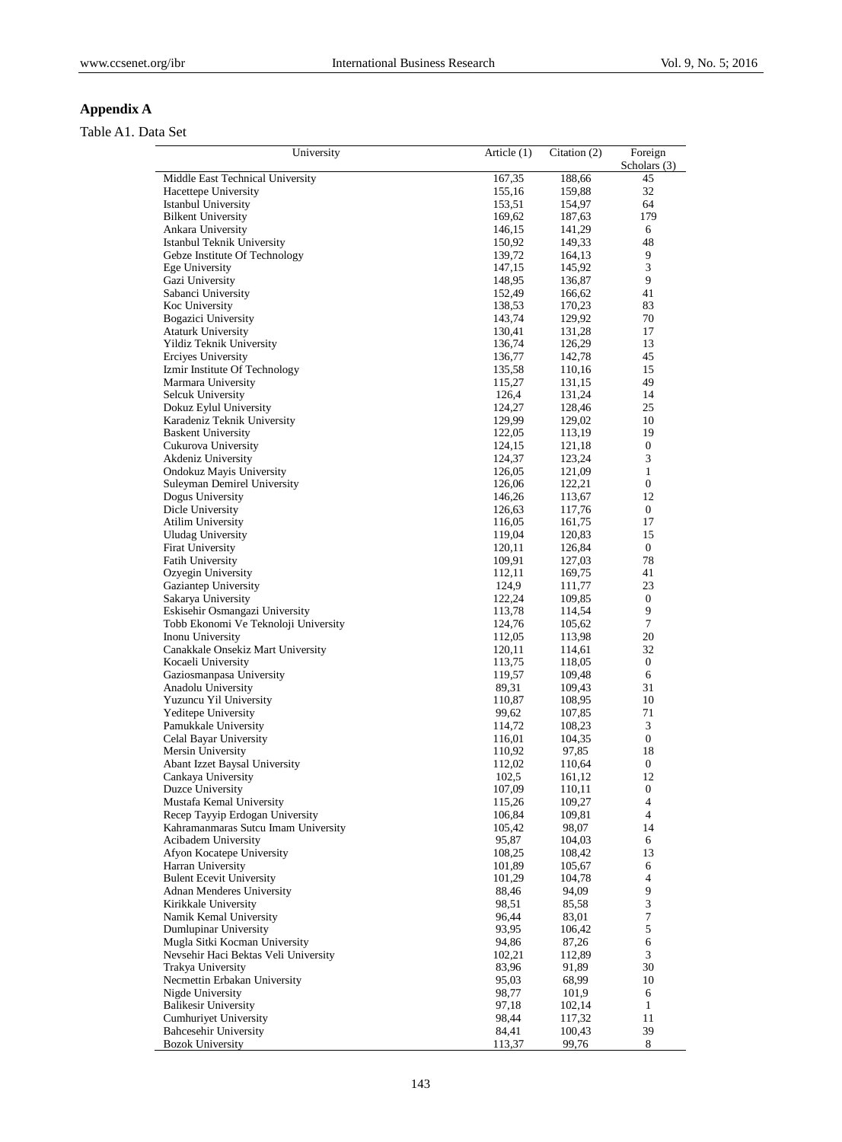# **Appendix A**

# Table A1. Data Set

| University                                              | Article (1)      | Citation (2)     | Foreign                |
|---------------------------------------------------------|------------------|------------------|------------------------|
|                                                         |                  |                  | Scholars (3)           |
| Middle East Technical University                        | 167,35           | 188,66           | 45                     |
| Hacettepe University                                    | 155,16           | 159,88           | 32                     |
| <b>Istanbul University</b><br><b>Bilkent University</b> | 153,51<br>169,62 | 154,97           | 64<br>179              |
| Ankara University                                       | 146,15           | 187,63<br>141,29 | 6                      |
| Istanbul Teknik University                              | 150,92           | 149,33           | 48                     |
| Gebze Institute Of Technology                           | 139,72           | 164,13           | 9                      |
| Ege University                                          | 147,15           | 145,92           | 3                      |
| Gazi University                                         | 148,95           | 136,87           | 9                      |
| Sabanci University                                      | 152,49           | 166,62           | 41                     |
| Koc University                                          | 138,53           | 170,23           | 83                     |
| Bogazici University                                     | 143,74           | 129,92           | 70                     |
| <b>Ataturk University</b>                               | 130,41           | 131,28           | 17                     |
| Yildiz Teknik University                                | 136,74           | 126,29           | 13                     |
| Erciyes University                                      | 136,77           | 142,78           | 45                     |
| Izmir Institute Of Technology                           | 135,58           | 110,16           | 15                     |
| Marmara University                                      | 115,27           | 131,15           | 49                     |
| Selcuk University                                       | 126,4            | 131,24           | 14                     |
| Dokuz Eylul University                                  | 124,27           | 128,46           | 25                     |
| Karadeniz Teknik University                             | 129,99           | 129,02           | 10                     |
| <b>Baskent University</b>                               | 122,05           | 113,19           | 19                     |
| Cukurova University                                     | 124,15           | 121,18           | 0                      |
| Akdeniz University                                      | 124,37           | 123,24           | 3                      |
| Ondokuz Mayis University                                | 126,05           | 121,09           | $\mathbf{1}$           |
| Suleyman Demirel University                             | 126,06           | 122,21           | $\boldsymbol{0}$       |
| Dogus University                                        | 146,26<br>126,63 | 113,67<br>117,76 | 12<br>$\boldsymbol{0}$ |
| Dicle University<br><b>Atilim University</b>            |                  | 161,75           | 17                     |
| <b>Uludag University</b>                                | 116,05<br>119,04 | 120,83           | 15                     |
| <b>Firat University</b>                                 | 120,11           | 126,84           | $\boldsymbol{0}$       |
| <b>Fatih University</b>                                 | 109,91           | 127,03           | 78                     |
| Ozyegin University                                      | 112,11           | 169,75           | 41                     |
| Gaziantep University                                    | 124,9            | 111,77           | 23                     |
| Sakarya University                                      | 122,24           | 109,85           | $\boldsymbol{0}$       |
| Eskisehir Osmangazi University                          | 113,78           | 114,54           | 9                      |
| Tobb Ekonomi Ve Teknoloji University                    | 124,76           | 105,62           | $\tau$                 |
| Inonu University                                        | 112,05           | 113,98           | 20                     |
| Canakkale Onsekiz Mart University                       | 120,11           | 114,61           | 32                     |
| Kocaeli University                                      | 113,75           | 118,05           | $\boldsymbol{0}$       |
| Gaziosmanpasa University                                | 119,57           | 109,48           | 6                      |
| Anadolu University                                      | 89,31            | 109,43           | 31                     |
| Yuzuncu Yil University                                  | 110,87           | 108,95           | 10                     |
| Yeditepe University                                     | 99,62            | 107,85           | 71                     |
| Pamukkale University                                    | 114,72           | 108,23           | 3                      |
| Celal Bayar University                                  | 116,01           | 104,35           | $\boldsymbol{0}$       |
| Mersin University                                       | 110,92           | 97,85            | 18                     |
| Abant Izzet Baysal University                           | 112,02           | 110,64           | $\boldsymbol{0}$       |
| Cankaya University                                      | 102,5            | 161,12           | 12                     |
| Duzce University<br>Mustafa Kemal University            | 107,09<br>115,26 | 110,11<br>109,27 | $\boldsymbol{0}$<br>4  |
| Recep Tayyip Erdogan University                         | 106,84           | 109,81           | $\overline{4}$         |
| Kahramanmaras Sutcu Imam University                     | 105,42           | 98,07            | 14                     |
| Acibadem University                                     | 95,87            | 104,03           | 6                      |
| Afyon Kocatepe University                               | 108,25           | 108,42           | 13                     |
| Harran University                                       | 101,89           | 105,67           | 6                      |
| <b>Bulent Ecevit University</b>                         | 101,29           | 104,78           | 4                      |
| <b>Adnan Menderes University</b>                        | 88,46            | 94,09            | 9                      |
| Kirikkale University                                    | 98,51            | 85,58            | $\mathfrak{Z}$         |
| Namik Kemal University                                  | 96,44            | 83,01            | 7                      |
| Dumlupinar University                                   | 93,95            | 106,42           | 5                      |
| Mugla Sitki Kocman University                           | 94,86            | 87,26            | 6                      |
| Nevsehir Haci Bektas Veli University                    | 102,21           | 112,89           | 3                      |
| Trakya University                                       | 83,96            | 91,89            | 30                     |
| Necmettin Erbakan University                            | 95,03            | 68,99            | 10                     |
| Nigde University                                        | 98,77            | 101,9            | 6                      |
| <b>Balikesir University</b>                             | 97,18            | 102,14           | $\mathbf{1}$           |
| <b>Cumhuriyet University</b>                            | 98,44            | 117,32           | 11                     |
| <b>Bahcesehir University</b>                            | 84,41            | 100,43           | 39                     |
| <b>Bozok University</b>                                 | 113,37           | 99,76            | 8                      |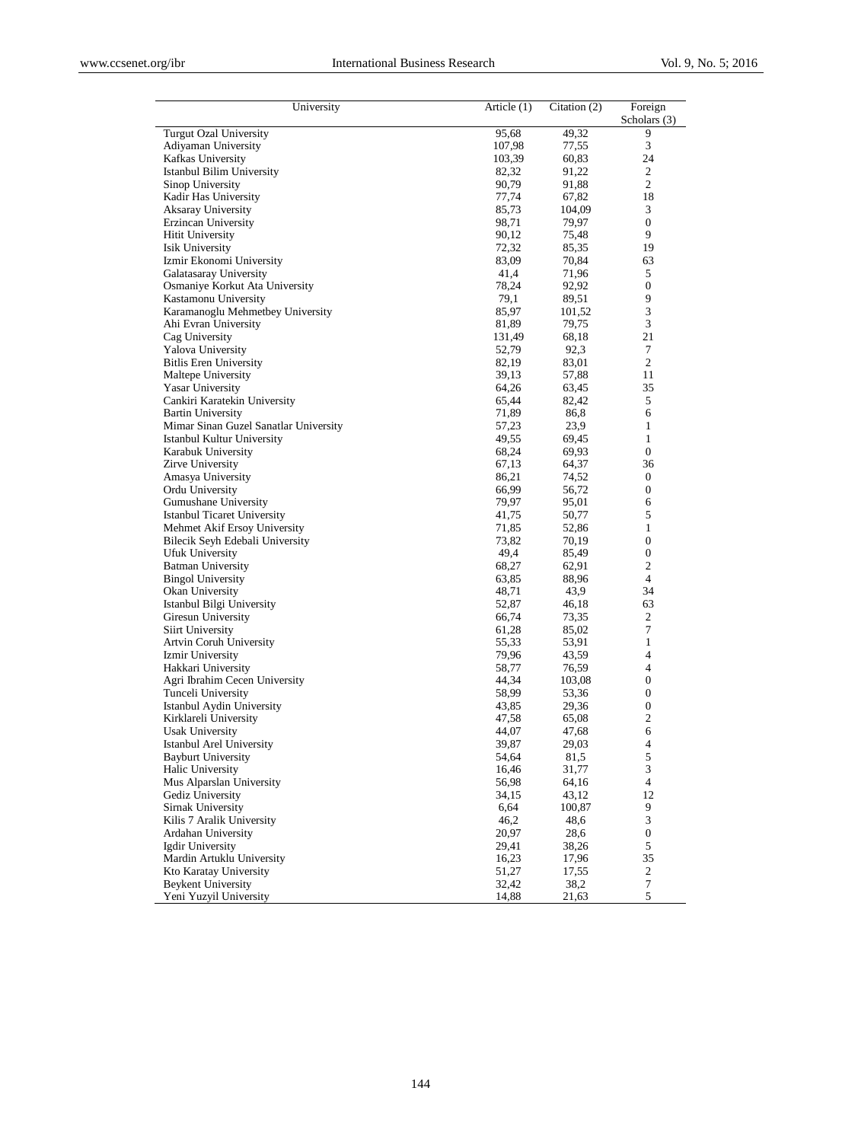| University                             | Article (1)    | Citation $(2)$  | Foreign<br>Scholars $(3)$ |
|----------------------------------------|----------------|-----------------|---------------------------|
| <b>Turgut Ozal University</b>          | 95,68          | 49,32           | 9                         |
| Adiyaman University                    | 107,98         | 77,55           | 3                         |
| Kafkas University                      | 103,39         | 60,83           | 24                        |
| Istanbul Bilim University              | 82,32          | 91,22           | 2                         |
| Sinop University                       | 90,79          | 91,88           | $\overline{c}$            |
| Kadir Has University                   | 77,74          | 67,82           | 18                        |
| Aksaray University                     | 85,73          | 104,09          | 3                         |
| Erzincan University                    | 98,71          | 79,97           | $\boldsymbol{0}$          |
| <b>Hitit University</b>                | 90,12          | 75,48           | 9                         |
| Isik University                        | 72,32          | 85,35           | 19                        |
| Izmir Ekonomi University               | 83,09          | 70,84           | 63                        |
| Galatasaray University                 | 41,4           | 71,96           | 5                         |
| Osmaniye Korkut Ata University         | 78,24          | 92,92           | 0                         |
| Kastamonu University                   | 79,1           | 89,51           | 9                         |
| Karamanoglu Mehmetbey University       | 85,97          | 101,52          | 3                         |
| Ahi Evran University                   | 81,89          | 79,75           | 3                         |
| Cag University                         | 131,49         | 68,18           | 21                        |
| Yalova University                      | 52,79          | 92,3            | 7                         |
| <b>Bitlis Eren University</b>          | 82,19          | 83,01           | $\overline{c}$            |
| Maltepe University                     | 39,13          | 57,88           | 11                        |
| <b>Yasar University</b>                | 64,26          | 63,45           | 35                        |
| Cankiri Karatekin University           | 65,44          | 82,42           | 5                         |
| <b>Bartin University</b>               | 71,89          | 86,8            | 6                         |
| Mimar Sinan Guzel Sanatlar University  | 57,23          | 23,9            | 1                         |
| Istanbul Kultur University             | 49,55          | 69,45           | $\mathbf{1}$              |
| Karabuk University                     | 68,24          | 69,93           | $\overline{0}$            |
| Zirve University                       | 67,13          | 64,37           | 36                        |
| Amasya University                      | 86,21          | 74,52           | $\boldsymbol{0}$          |
| Ordu University                        | 66,99          | 56,72           | 0                         |
| Gumushane University                   | 79,97          | 95,01           | 6                         |
| <b>Istanbul Ticaret University</b>     | 41,75          | 50,77           | 5                         |
| Mehmet Akif Ersoy University           | 71,85          | 52,86           | 1                         |
| Bilecik Seyh Edebali University        | 73,82          | 70,19           | 0                         |
| Ufuk University                        | 49,4           | 85,49           | 0                         |
| <b>Batman University</b>               | 68,27          | 62,91           | 2                         |
| <b>Bingol University</b>               | 63,85          | 88,96           | $\overline{4}$            |
| Okan University                        | 48,71          | 43,9            | 34                        |
| Istanbul Bilgi University              | 52,87          | 46,18           | 63                        |
| Giresun University                     | 66,74          | 73,35           | 2<br>7                    |
| Siirt University                       | 61,28          | 85,02           | $\mathbf{1}$              |
| Artvin Coruh University                | 55,33<br>79,96 | 53,91           | 4                         |
| Izmir University<br>Hakkari University | 58,77          | 43,59           | 4                         |
| Agri Ibrahim Cecen University          | 44,34          | 76,59<br>103,08 | 0                         |
| Tunceli University                     |                |                 | 0                         |
| Istanbul Aydin University              | 58,99          | 53,36<br>29,36  | 0                         |
| Kirklareli University                  | 43,85<br>47,58 | 65,08           | $\overline{c}$            |
| <b>Usak University</b>                 | 44,07          | 47,68           |                           |
| Istanbul Arel University               | 39,87          | 29,03           | 6<br>4                    |
| <b>Bayburt University</b>              | 54,64          | 81,5            | 5                         |
| Halic University                       | 16,46          | 31,77           | 3                         |
| Mus Alparslan University               | 56,98          | 64,16           | 4                         |
| Gediz University                       | 34,15          | 43,12           | 12                        |
| Sirnak University                      | 6,64           | 100,87          | 9                         |
| Kilis 7 Aralik University              | 46,2           | 48,6            | 3                         |
| Ardahan University                     | 20,97          | 28,6            | $\boldsymbol{0}$          |
| Igdir University                       | 29,41          | 38,26           | 5                         |
| Mardin Artuklu University              | 16,23          | 17,96           | 35                        |
| Kto Karatay University                 | 51,27          | 17,55           | $\mathbf{2}$              |
| <b>Beykent University</b>              | 32,42          | 38,2            | $\boldsymbol{7}$          |
| Yeni Yuzyil University                 |                |                 |                           |
|                                        | 14,88          | 21,63           | 5                         |